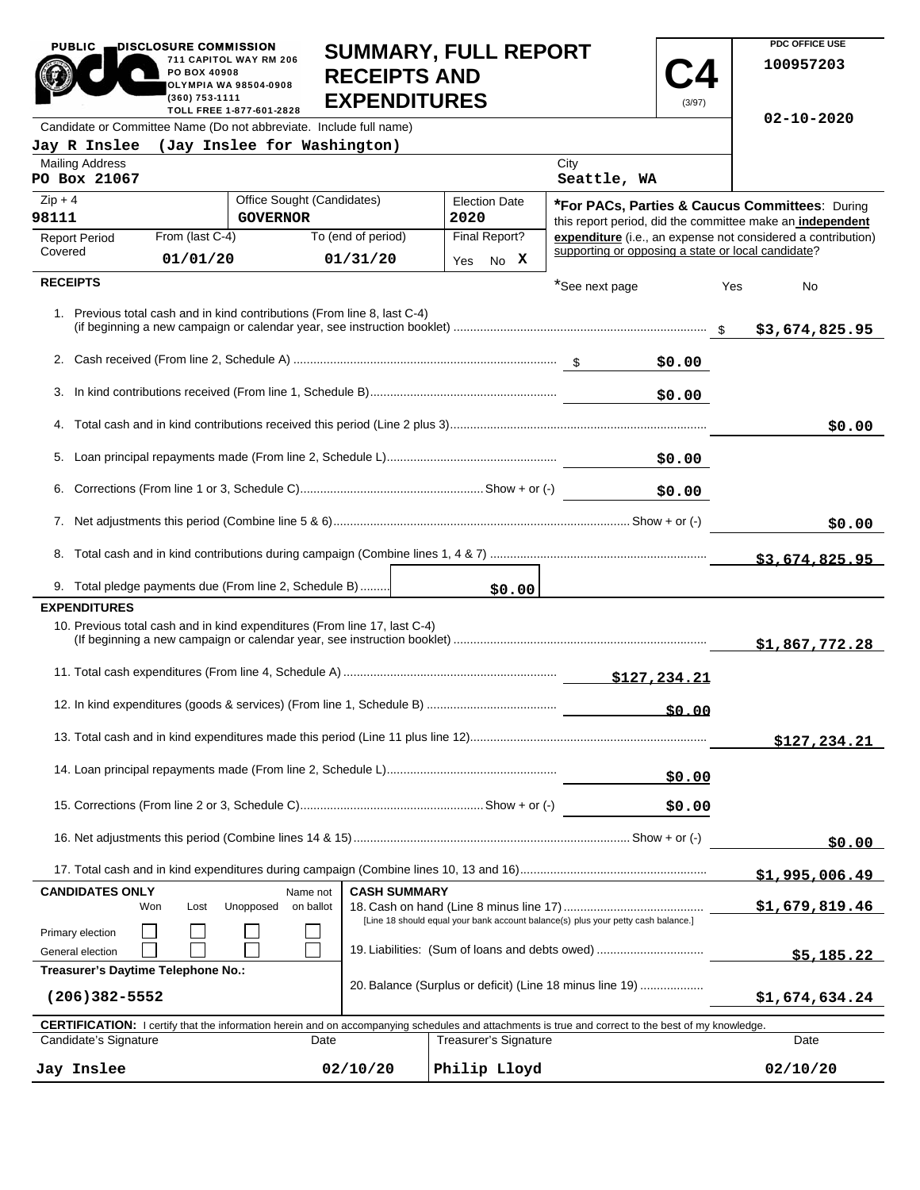| <b>PUBLIC</b>                                                      | DISCLOSURE COMMISSION<br><b>SUMMARY, FULL REPORT</b><br>711 CAPITOL WAY RM 206<br>PO BOX 40908<br><b>RECEIPTS AND</b><br><b>OLYMPIA WA 98504-0908</b><br><b>EXPENDITURES</b><br>(360) 753-1111<br>(3/97)<br>TOLL FREE 1-877-601-2828 |                                                                           |                     |      |                              |                                                                                                                                                            | PDC OFFICE USE<br>100957203 |     |                                                                                                             |
|--------------------------------------------------------------------|--------------------------------------------------------------------------------------------------------------------------------------------------------------------------------------------------------------------------------------|---------------------------------------------------------------------------|---------------------|------|------------------------------|------------------------------------------------------------------------------------------------------------------------------------------------------------|-----------------------------|-----|-------------------------------------------------------------------------------------------------------------|
| Candidate or Committee Name (Do not abbreviate. Include full name) |                                                                                                                                                                                                                                      |                                                                           |                     |      |                              |                                                                                                                                                            |                             |     | $02 - 10 - 2020$                                                                                            |
| Jay R Inslee (Jay Inslee for Washington)                           |                                                                                                                                                                                                                                      |                                                                           |                     |      |                              |                                                                                                                                                            |                             |     |                                                                                                             |
| <b>Mailing Address</b><br>PO Box 21067                             |                                                                                                                                                                                                                                      |                                                                           |                     |      |                              | City<br>Seattle, WA                                                                                                                                        |                             |     |                                                                                                             |
| $Zip + 4$<br>98111                                                 |                                                                                                                                                                                                                                      | Office Sought (Candidates)<br><b>GOVERNOR</b>                             |                     | 2020 | <b>Election Date</b>         |                                                                                                                                                            |                             |     | *For PACs, Parties & Caucus Committees: During<br>this report period, did the committee make an independent |
| <b>Report Period</b>                                               | From (last C-4)                                                                                                                                                                                                                      |                                                                           | To (end of period)  |      | Final Report?                |                                                                                                                                                            |                             |     | expenditure (i.e., an expense not considered a contribution)                                                |
| Covered                                                            | 01/01/20                                                                                                                                                                                                                             |                                                                           | 01/31/20            | Yes  | No X                         | supporting or opposing a state or local candidate?                                                                                                         |                             |     |                                                                                                             |
| <b>RECEIPTS</b>                                                    |                                                                                                                                                                                                                                      |                                                                           |                     |      |                              | *See next page                                                                                                                                             |                             | Yes | No                                                                                                          |
|                                                                    |                                                                                                                                                                                                                                      | 1. Previous total cash and in kind contributions (From line 8, last C-4)  |                     |      |                              |                                                                                                                                                            |                             |     | \$3,674,825.95                                                                                              |
|                                                                    |                                                                                                                                                                                                                                      |                                                                           |                     |      |                              |                                                                                                                                                            | \$0.00                      |     |                                                                                                             |
|                                                                    |                                                                                                                                                                                                                                      |                                                                           |                     |      |                              |                                                                                                                                                            | \$0.00                      |     |                                                                                                             |
|                                                                    |                                                                                                                                                                                                                                      |                                                                           |                     |      |                              |                                                                                                                                                            |                             |     | \$0.00                                                                                                      |
|                                                                    |                                                                                                                                                                                                                                      |                                                                           |                     |      |                              |                                                                                                                                                            | \$0.00                      |     |                                                                                                             |
|                                                                    |                                                                                                                                                                                                                                      |                                                                           |                     |      |                              |                                                                                                                                                            | \$0.00                      |     |                                                                                                             |
|                                                                    |                                                                                                                                                                                                                                      |                                                                           |                     |      |                              |                                                                                                                                                            |                             |     | \$0.00                                                                                                      |
|                                                                    |                                                                                                                                                                                                                                      |                                                                           |                     |      |                              |                                                                                                                                                            |                             |     |                                                                                                             |
|                                                                    |                                                                                                                                                                                                                                      |                                                                           |                     |      |                              |                                                                                                                                                            |                             |     |                                                                                                             |
|                                                                    |                                                                                                                                                                                                                                      | 9. Total pledge payments due (From line 2, Schedule B)                    |                     |      | \$0.00                       |                                                                                                                                                            |                             |     |                                                                                                             |
| <b>EXPENDITURES</b>                                                |                                                                                                                                                                                                                                      | 10. Previous total cash and in kind expenditures (From line 17, last C-4) |                     |      |                              |                                                                                                                                                            |                             |     | \$1,867,772.28                                                                                              |
|                                                                    |                                                                                                                                                                                                                                      |                                                                           |                     |      |                              |                                                                                                                                                            |                             |     |                                                                                                             |
|                                                                    |                                                                                                                                                                                                                                      |                                                                           |                     |      |                              |                                                                                                                                                            | \$0.00                      |     |                                                                                                             |
|                                                                    |                                                                                                                                                                                                                                      |                                                                           |                     |      |                              |                                                                                                                                                            |                             |     | \$127, 234.21                                                                                               |
|                                                                    |                                                                                                                                                                                                                                      |                                                                           |                     |      |                              |                                                                                                                                                            | \$0.00                      |     |                                                                                                             |
|                                                                    |                                                                                                                                                                                                                                      |                                                                           |                     |      |                              |                                                                                                                                                            | \$0.00                      |     |                                                                                                             |
|                                                                    |                                                                                                                                                                                                                                      |                                                                           |                     |      |                              |                                                                                                                                                            |                             |     | \$0.00                                                                                                      |
|                                                                    |                                                                                                                                                                                                                                      |                                                                           |                     |      |                              |                                                                                                                                                            |                             |     | <u>\$1,995,006.49</u>                                                                                       |
| <b>CANDIDATES ONLY</b><br>Won                                      | Lost                                                                                                                                                                                                                                 | Name not<br>Unopposed<br>on ballot                                        | <b>CASH SUMMARY</b> |      |                              |                                                                                                                                                            |                             |     | \$1,679,819.46                                                                                              |
| Primary election<br>General election                               | [Line 18 should equal your bank account balance(s) plus your petty cash balance.]<br>19. Liabilities: (Sum of loans and debts owed)                                                                                                  |                                                                           |                     |      |                              |                                                                                                                                                            | \$5,185.22                  |     |                                                                                                             |
| Treasurer's Daytime Telephone No.:<br>$(206)382 - 5552$            |                                                                                                                                                                                                                                      |                                                                           |                     |      |                              | 20. Balance (Surplus or deficit) (Line 18 minus line 19)                                                                                                   |                             |     | \$1,674,634.24                                                                                              |
|                                                                    |                                                                                                                                                                                                                                      |                                                                           |                     |      |                              | <b>CERTIFICATION:</b> I certify that the information herein and on accompanying schedules and attachments is true and correct to the best of my knowledge. |                             |     |                                                                                                             |
| Candidate's Signature                                              |                                                                                                                                                                                                                                      | Date                                                                      |                     |      | <b>Treasurer's Signature</b> |                                                                                                                                                            |                             |     | Date                                                                                                        |
| Jay Inslee                                                         |                                                                                                                                                                                                                                      |                                                                           | 02/10/20            |      | Philip Lloyd                 |                                                                                                                                                            |                             |     | 02/10/20                                                                                                    |

**PDC OFFICE USE** 

PUBLIC DISCLOSURE COMMISSION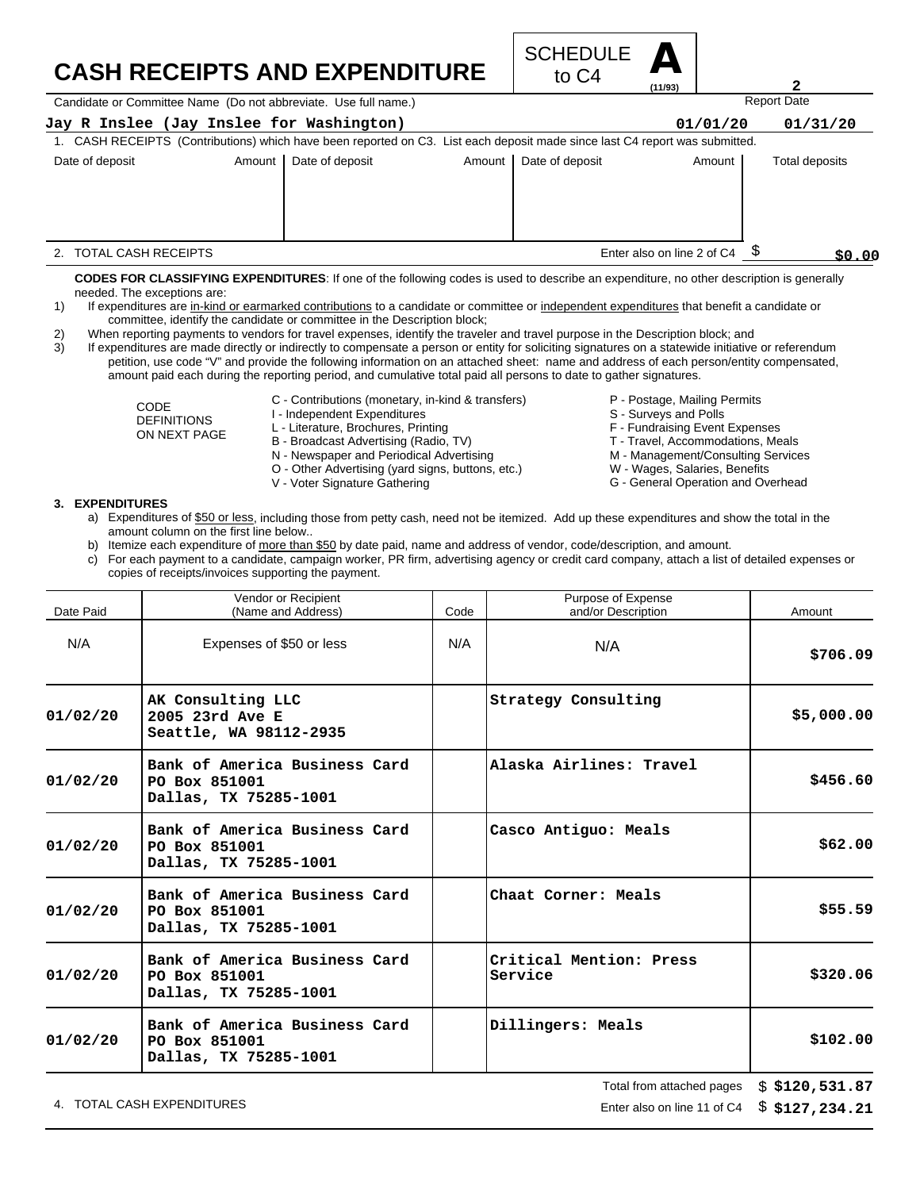#### **CASH RECEIPTS AND EXPENDITURE**



Candidate or Committee Name (Do not abbreviate. Use full name.)

ł

| Jay R Inslee (Jay Inslee for Washington)                                                                                    |                 |          |                 | 01/01/20                   | 01/31/20       |
|-----------------------------------------------------------------------------------------------------------------------------|-----------------|----------|-----------------|----------------------------|----------------|
| 1. CASH RECEIPTS (Contributions) which have been reported on C3. List each deposit made since last C4 report was submitted. |                 |          |                 |                            |                |
| Date of deposit<br>Amount                                                                                                   | Date of deposit | Amount I | Date of deposit | Amount                     | Total deposits |
|                                                                                                                             |                 |          |                 |                            |                |
|                                                                                                                             |                 |          |                 |                            |                |
|                                                                                                                             |                 |          |                 |                            |                |
|                                                                                                                             |                 |          |                 |                            |                |
| 2. TOTAL CASH RECEIPTS                                                                                                      |                 |          |                 | Enter also on line 2 of C4 | \$0.00         |

**CODES FOR CLASSIFYING EXPENDITURES**: If one of the following codes is used to describe an expenditure, no other description is generally needed. The exceptions are:

- 1) If expenditures are in-kind or earmarked contributions to a candidate or committee or independent expenditures that benefit a candidate or committee, identify the candidate or committee in the Description block;
- 2) When reporting payments to vendors for travel expenses, identify the traveler and travel purpose in the Description block; and

3) If expenditures are made directly or indirectly to compensate a person or entity for soliciting signatures on a statewide initiative or referendum petition, use code "V" and provide the following information on an attached sheet: name and address of each person/entity compensated, amount paid each during the reporting period, and cumulative total paid all persons to date to gather signatures.

> CODE DEFINITIONS ON NEXT PAGE

- C Contributions (monetary, in-kind & transfers)
- I Independent Expenditures
- L Literature, Brochures, Printing
- B Broadcast Advertising (Radio, TV)
- N Newspaper and Periodical Advertising
- O Other Advertising (yard signs, buttons, etc.)
- V Voter Signature Gathering

P - Postage, Mailing Permits

- S Surveys and Polls
- F Fundraising Event Expenses
- T Travel, Accommodations, Meals
- M Management/Consulting Services

Report Date

**2**

- W Wages, Salaries, Benefits
- G General Operation and Overhead

#### **3. EXPENDITURES**

- a) Expenditures of \$50 or less, including those from petty cash, need not be itemized. Add up these expenditures and show the total in the amount column on the first line below..
- b) Itemize each expenditure of more than \$50 by date paid, name and address of vendor, code/description, and amount.
- c) For each payment to a candidate, campaign worker, PR firm, advertising agency or credit card company, attach a list of detailed expenses or copies of receipts/invoices supporting the payment.

| Date Paid | Vendor or Recipient<br>(Name and Address)                               | Code | Purpose of Expense<br>and/or Description | Amount     |
|-----------|-------------------------------------------------------------------------|------|------------------------------------------|------------|
| N/A       | Expenses of \$50 or less                                                | N/A  | N/A                                      | \$706.09   |
| 01/02/20  | AK Consulting LLC<br>2005 23rd Ave E<br>Seattle, WA 98112-2935          |      | Strategy Consulting                      | \$5,000.00 |
| 01/02/20  | Bank of America Business Card<br>PO Box 851001<br>Dallas, TX 75285-1001 |      | Alaska Airlines: Travel                  | \$456.60   |
| 01/02/20  | Bank of America Business Card<br>PO Box 851001<br>Dallas, TX 75285-1001 |      | Casco Antiguo: Meals                     | \$62.00    |
| 01/02/20  | Bank of America Business Card<br>PO Box 851001<br>Dallas, TX 75285-1001 |      | Chaat Corner: Meals                      | \$55.59    |
| 01/02/20  | Bank of America Business Card<br>PO Box 851001<br>Dallas, TX 75285-1001 |      | Critical Mention: Press<br>Service       | \$320.06   |
| 01/02/20  | Bank of America Business Card<br>PO Box 851001<br>Dallas, TX 75285-1001 |      | Dillingers: Meals                        | \$102.00   |

4. TOTAL CASH EXPENDITURES **EXPENDITURES Enter also on line 11 of C4** 

Total from attached pages **\$120,531.87**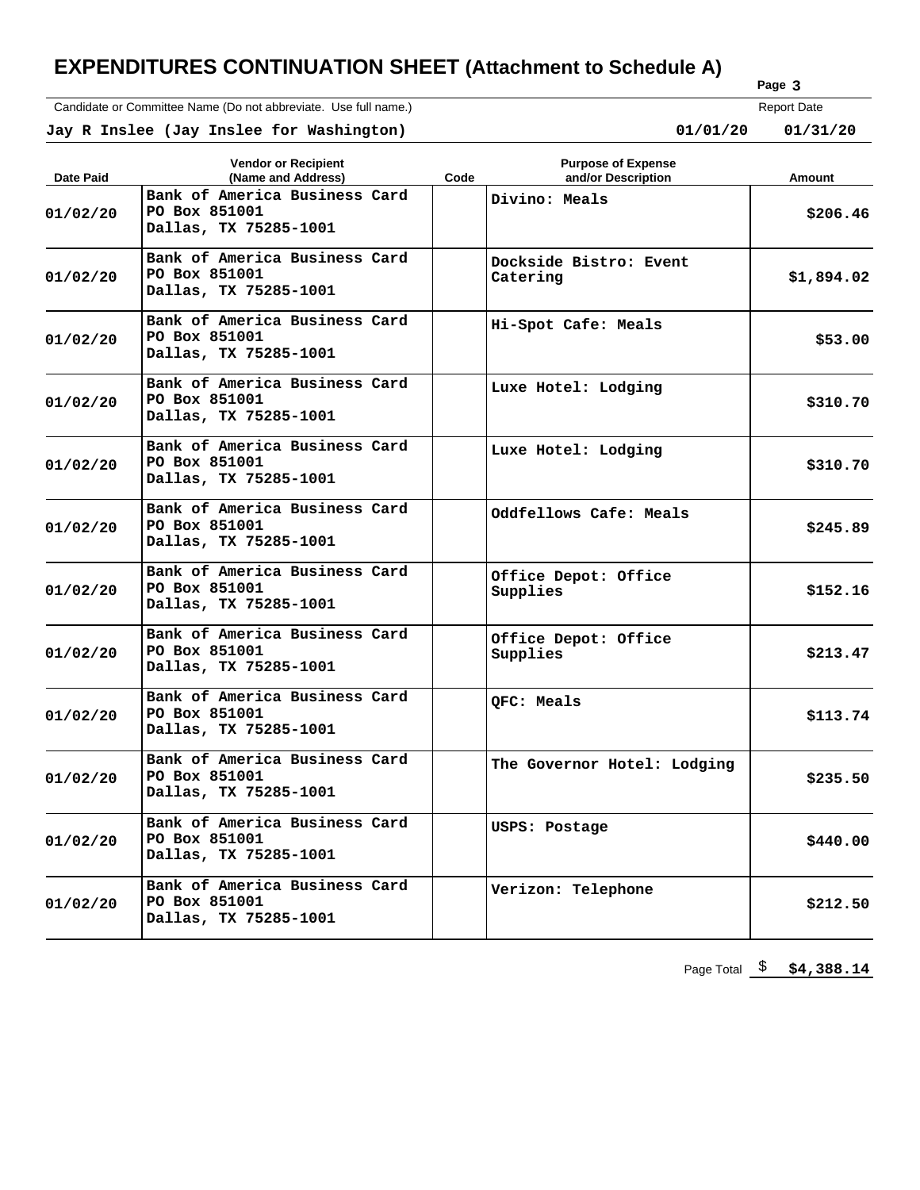Candidate or Committee Name (Do not abbreviate. Use full name.)

**Page 3** Report Date

**Jay R Inslee (Jay Inslee for Washington) 01/01/20 01/31/20**

| Date Paid | <b>Vendor or Recipient</b><br>(Name and Address)                        | Code | <b>Purpose of Expense</b><br>and/or Description | Amount     |
|-----------|-------------------------------------------------------------------------|------|-------------------------------------------------|------------|
| 01/02/20  | Bank of America Business Card<br>PO Box 851001<br>Dallas, TX 75285-1001 |      | Divino: Meals                                   | \$206.46   |
| 01/02/20  | Bank of America Business Card<br>PO Box 851001<br>Dallas, TX 75285-1001 |      | Dockside Bistro: Event<br>Catering              | \$1,894.02 |
| 01/02/20  | Bank of America Business Card<br>PO Box 851001<br>Dallas, TX 75285-1001 |      | Hi-Spot Cafe: Meals                             | \$53.00    |
| 01/02/20  | Bank of America Business Card<br>PO Box 851001<br>Dallas, TX 75285-1001 |      | Luxe Hotel: Lodging                             | \$310.70   |
| 01/02/20  | Bank of America Business Card<br>PO Box 851001<br>Dallas, TX 75285-1001 |      | Luxe Hotel: Lodging                             | \$310.70   |
| 01/02/20  | Bank of America Business Card<br>PO Box 851001<br>Dallas, TX 75285-1001 |      | Oddfellows Cafe: Meals                          | \$245.89   |
| 01/02/20  | Bank of America Business Card<br>PO Box 851001<br>Dallas, TX 75285-1001 |      | Office Depot: Office<br>Supplies                | \$152.16   |
| 01/02/20  | Bank of America Business Card<br>PO Box 851001<br>Dallas, TX 75285-1001 |      | Office Depot: Office<br>Supplies                | \$213.47   |
| 01/02/20  | Bank of America Business Card<br>PO Box 851001<br>Dallas, TX 75285-1001 |      | OFC: Meals                                      | \$113.74   |
| 01/02/20  | Bank of America Business Card<br>PO Box 851001<br>Dallas, TX 75285-1001 |      | The Governor Hotel: Lodging                     | \$235.50   |
| 01/02/20  | Bank of America Business Card<br>PO Box 851001<br>Dallas, TX 75285-1001 |      | USPS: Postage                                   | \$440.00   |
| 01/02/20  | Bank of America Business Card<br>PO Box 851001<br>Dallas, TX 75285-1001 |      | Verizon: Telephone                              | \$212.50   |

Page Total  $\frac{1}{2}$  \$4,388.14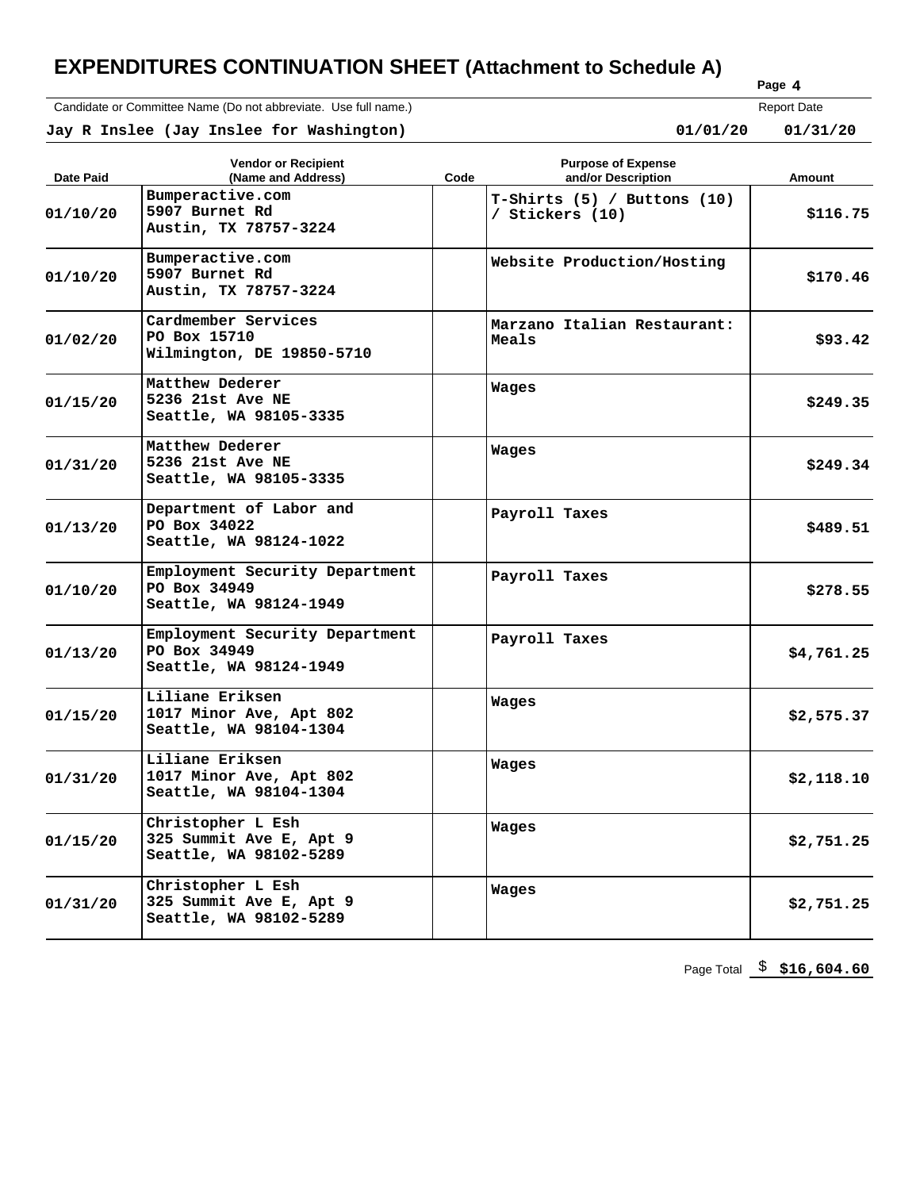Candidate or Committee Name (Do not abbreviate. Use full name.)

**Page 4**

 **Jay R Inslee (Jay Inslee for Washington) 01/01/20 01/31/20** Report Date  $01/31/20$ 

| Date Paid | <b>Vendor or Recipient</b><br>(Name and Address)                         | Code | <b>Purpose of Expense</b><br>and/or Description  | Amount     |
|-----------|--------------------------------------------------------------------------|------|--------------------------------------------------|------------|
| 01/10/20  | Bumperactive.com<br>5907 Burnet Rd<br>Austin, TX 78757-3224              |      | $T-Shirts$ (5) / Buttons (10)<br>/ Stickers (10) | \$116.75   |
| 01/10/20  | Bumperactive.com<br>5907 Burnet Rd<br>Austin, TX 78757-3224              |      | Website Production/Hosting                       | \$170.46   |
| 01/02/20  | Cardmember Services<br>PO Box 15710<br>Wilmington, DE 19850-5710         |      | Marzano Italian Restaurant:<br>Meals             | \$93.42    |
| 01/15/20  | Matthew Dederer<br>5236 21st Ave NE<br>Seattle, WA 98105-3335            |      | Wages                                            | \$249.35   |
| 01/31/20  | Matthew Dederer<br>5236 21st Ave NE<br>Seattle, WA 98105-3335            |      | Wages                                            | \$249.34   |
| 01/13/20  | Department of Labor and<br>PO Box 34022<br>Seattle, WA 98124-1022        |      | Payroll Taxes                                    | \$489.51   |
| 01/10/20  | Employment Security Department<br>PO Box 34949<br>Seattle, WA 98124-1949 |      | Payroll Taxes                                    | \$278.55   |
| 01/13/20  | Employment Security Department<br>PO Box 34949<br>Seattle, WA 98124-1949 |      | Payroll Taxes                                    | \$4,761.25 |
| 01/15/20  | Liliane Eriksen<br>1017 Minor Ave, Apt 802<br>Seattle, WA 98104-1304     |      | Wages                                            | \$2,575.37 |
| 01/31/20  | Liliane Eriksen<br>1017 Minor Ave, Apt 802<br>Seattle, WA 98104-1304     |      | Wages                                            | \$2,118.10 |
| 01/15/20  | Christopher L Esh<br>325 Summit Ave E, Apt 9<br>Seattle, WA 98102-5289   |      | Wages                                            | \$2,751.25 |
| 01/31/20  | Christopher L Esh<br>325 Summit Ave E, Apt 9<br>Seattle, WA 98102-5289   |      | Wages                                            | \$2,751.25 |

Page Total \$ **\$16,604.60**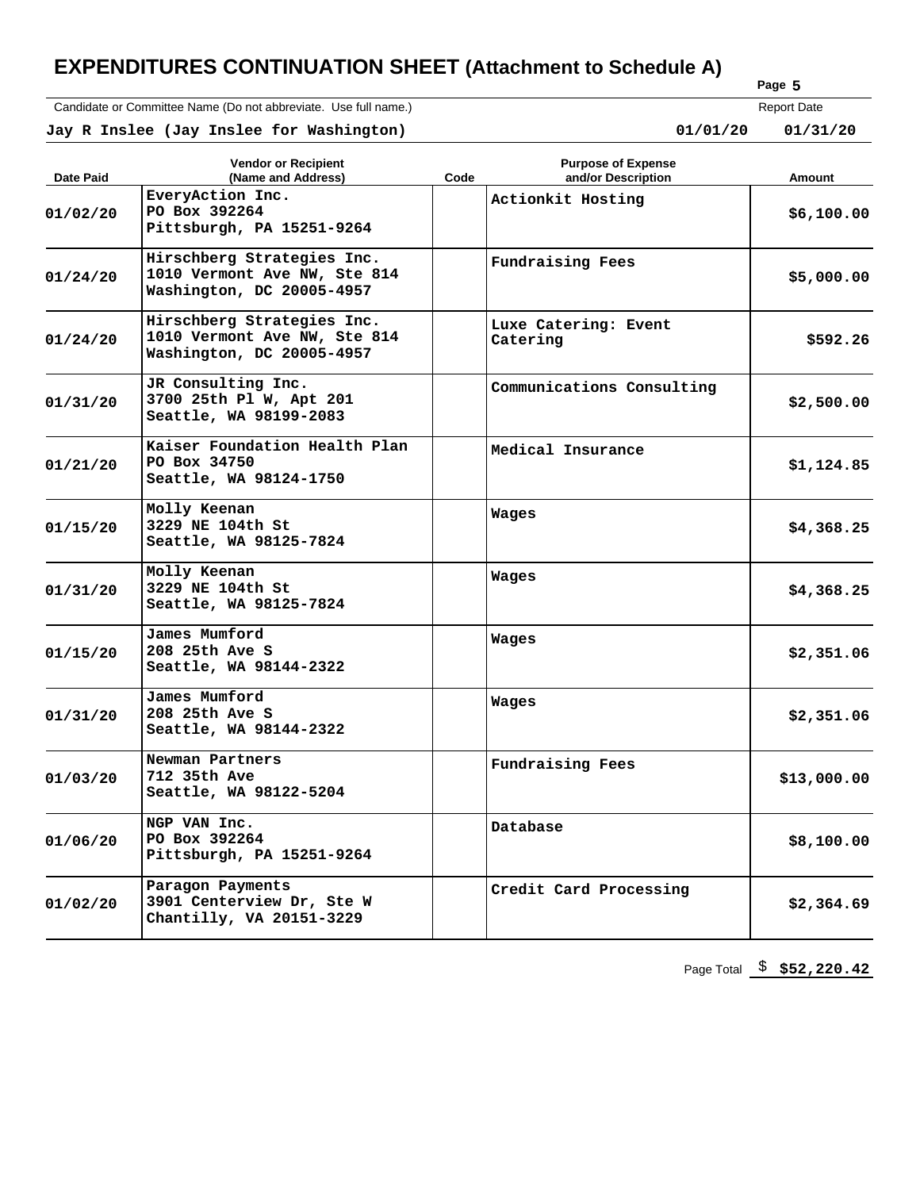Candidate or Committee Name (Do not abbreviate. Use full name.)

```
Page 
5
```
**Jay R Inslee (Jay Inslee for Washington) 01/01/20 01/31/20**

|          | Report Date |
|----------|-------------|
| 01/01/20 | 01/31/20    |

| Date Paid | <b>Vendor or Recipient</b><br>(Name and Address)                                        | Code | <b>Purpose of Expense</b><br>and/or Description | Amount      |
|-----------|-----------------------------------------------------------------------------------------|------|-------------------------------------------------|-------------|
| 01/02/20  | EveryAction Inc.<br>PO Box 392264<br>Pittsburgh, PA 15251-9264                          |      | Actionkit Hosting                               | \$6,100.00  |
| 01/24/20  | Hirschberg Strategies Inc.<br>1010 Vermont Ave NW, Ste 814<br>Washington, DC 20005-4957 |      | Fundraising Fees                                | \$5,000.00  |
| 01/24/20  | Hirschberg Strategies Inc.<br>1010 Vermont Ave NW, Ste 814<br>Washington, DC 20005-4957 |      | Luxe Catering: Event<br>Catering                | \$592.26    |
| 01/31/20  | JR Consulting Inc.<br>3700 25th Pl W, Apt 201<br>Seattle, WA 98199-2083                 |      | Communications Consulting                       | \$2,500.00  |
| 01/21/20  | Kaiser Foundation Health Plan<br>PO Box 34750<br>Seattle, WA 98124-1750                 |      | Medical Insurance                               | \$1,124.85  |
| 01/15/20  | Molly Keenan<br>3229 NE 104th St<br>Seattle, WA 98125-7824                              |      | Wages                                           | \$4,368.25  |
| 01/31/20  | Molly Keenan<br>3229 NE 104th St<br>Seattle, WA 98125-7824                              |      | Wages                                           | \$4,368.25  |
| 01/15/20  | James Mumford<br>208 25th Ave S<br>Seattle, WA 98144-2322                               |      | Wages                                           | \$2,351.06  |
| 01/31/20  | James Mumford<br>208 25th Ave S<br>Seattle, WA 98144-2322                               |      | Wages                                           | \$2,351.06  |
| 01/03/20  | Newman Partners<br>712 35th Ave<br>Seattle, WA 98122-5204                               |      | Fundraising Fees                                | \$13,000.00 |
| 01/06/20  | NGP VAN Inc.<br>PO Box 392264<br>Pittsburgh, PA 15251-9264                              |      | Database                                        | \$8,100.00  |
| 01/02/20  | Paragon Payments<br>3901 Centerview Dr, Ste W<br>Chantilly, VA 20151-3229               |      | Credit Card Processing                          | \$2,364.69  |

Page Total \$ **\$52,220.42**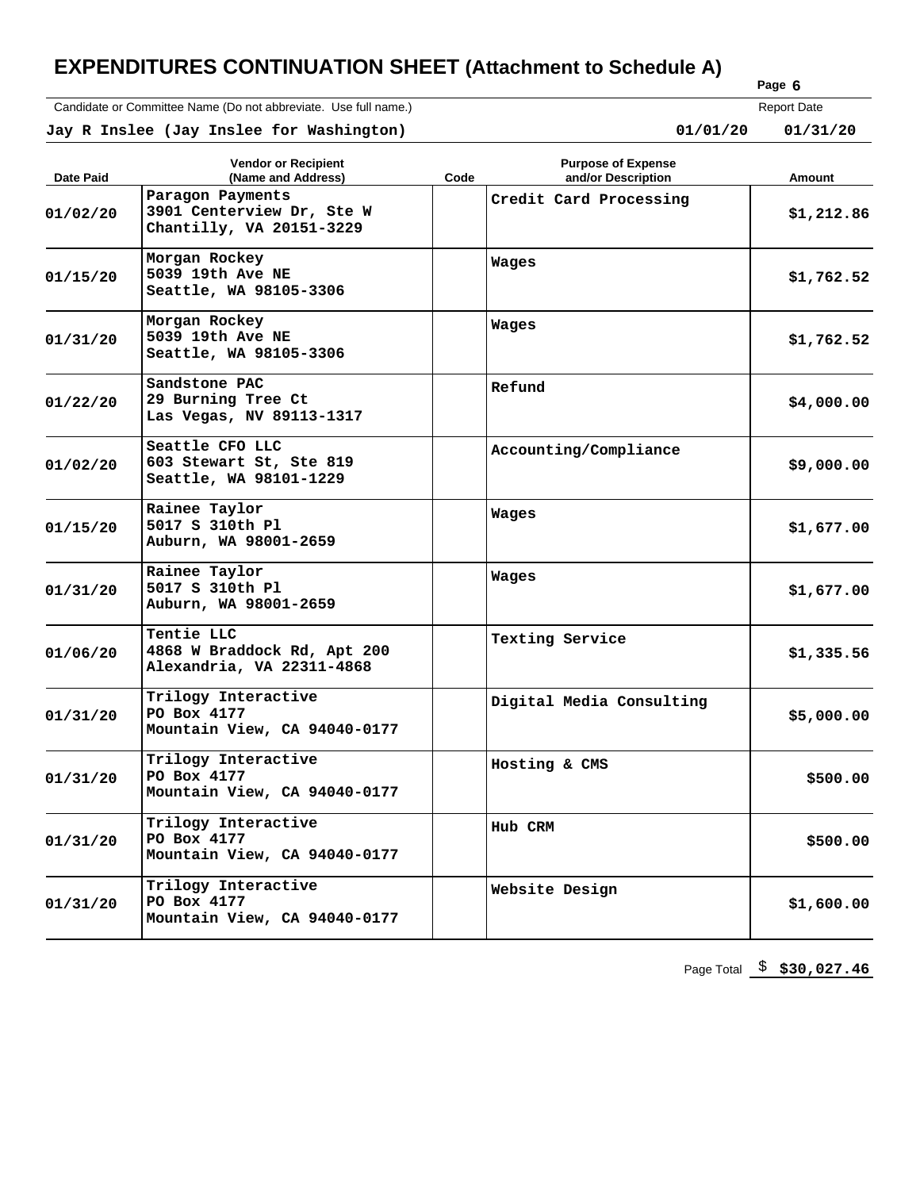Candidate or Committee Name (Do not abbreviate. Use full name.)

| נה סו |        |  |
|-------|--------|--|
|       | Page 6 |  |

Report Date

|           | Jay R Inslee (Jay Inslee for Washington) |     | 01/01/20                  | 01/31/20 |
|-----------|------------------------------------------|-----|---------------------------|----------|
|           | <b>Vendor or Recipient</b>               |     | <b>Purpose of Expense</b> |          |
| - - - - - |                                          | - - | .                         |          |

| <b>Date Paid</b> | TUNU VI KUUNGIK<br>(Name and Address)                                     | L MINAGO AL EVNAHOA<br>Code<br>and/or Description | Amount     |
|------------------|---------------------------------------------------------------------------|---------------------------------------------------|------------|
| 01/02/20         | Paragon Payments<br>3901 Centerview Dr, Ste W<br>Chantilly, VA 20151-3229 | Credit Card Processing                            | \$1,212.86 |
| 01/15/20         | Morgan Rockey<br>5039 19th Ave NE<br>Seattle, WA 98105-3306               | Wages                                             | \$1,762.52 |
| 01/31/20         | Morgan Rockey<br>5039 19th Ave NE<br>Seattle, WA 98105-3306               | Wages                                             | \$1,762.52 |
| 01/22/20         | Sandstone PAC<br>29 Burning Tree Ct<br>Las Vegas, NV 89113-1317           | Refund                                            | \$4,000.00 |
| 01/02/20         | Seattle CFO LLC<br>603 Stewart St, Ste 819<br>Seattle, WA 98101-1229      | Accounting/Compliance                             | \$9,000.00 |
| 01/15/20         | Rainee Taylor<br>5017 S 310th Pl<br>Auburn, WA 98001-2659                 | Wages                                             | \$1,677.00 |
| 01/31/20         | Rainee Taylor<br>5017 S 310th Pl<br>Auburn, WA 98001-2659                 | Wages                                             | \$1,677.00 |
| 01/06/20         | Tentie LLC<br>4868 W Braddock Rd, Apt 200<br>Alexandria, VA 22311-4868    | Texting Service                                   | \$1,335.56 |
| 01/31/20         | Trilogy Interactive<br>PO Box 4177<br>Mountain View, CA 94040-0177        | Digital Media Consulting                          | \$5,000.00 |
| 01/31/20         | Trilogy Interactive<br>PO Box 4177<br>Mountain View, CA 94040-0177        | Hosting & CMS                                     | \$500.00   |
| 01/31/20         | Trilogy Interactive<br>PO Box 4177<br>Mountain View, CA 94040-0177        | Hub CRM                                           | \$500.00   |
| 01/31/20         | Trilogy Interactive<br>PO Box 4177<br>Mountain View, CA 94040-0177        | Website Design                                    | \$1,600.00 |

Page Total \$ **\$30,027.46**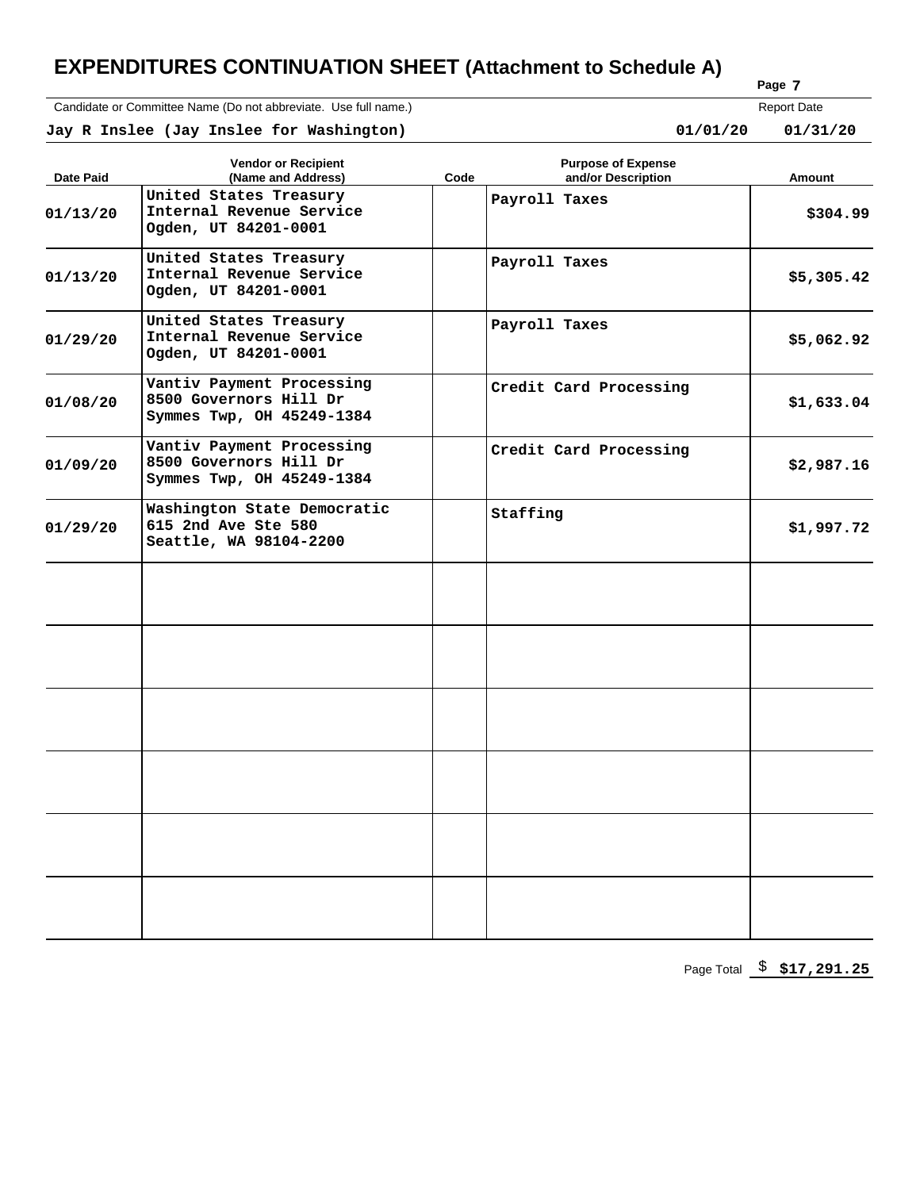Candidate or Committee Name (Do not abbreviate. Use full name.)

| m) |        |  |
|----|--------|--|
|    | Page 7 |  |

 **Jay R Inslee (Jay Inslee for Washington) 01/01/20 01/31/20** Report Date  $01/31/20$ 

| Date Paid | <b>Vendor or Recipient</b><br>(Name and Address)                                 | Code | <b>Purpose of Expense</b><br>and/or Description | Amount     |
|-----------|----------------------------------------------------------------------------------|------|-------------------------------------------------|------------|
| 01/13/20  | United States Treasury<br>Internal Revenue Service<br>Ogden, UT 84201-0001       |      | Payroll Taxes                                   | \$304.99   |
| 01/13/20  | United States Treasury<br>Internal Revenue Service<br>Ogden, UT 84201-0001       |      | Payroll Taxes                                   | \$5,305.42 |
| 01/29/20  | United States Treasury<br>Internal Revenue Service<br>Ogden, UT 84201-0001       |      | Payroll Taxes                                   | \$5,062.92 |
| 01/08/20  | Vantiv Payment Processing<br>8500 Governors Hill Dr<br>Symmes Twp, OH 45249-1384 |      | Credit Card Processing                          | \$1,633.04 |
| 01/09/20  | Vantiv Payment Processing<br>8500 Governors Hill Dr<br>Symmes Twp, OH 45249-1384 |      | Credit Card Processing                          | \$2,987.16 |
| 01/29/20  | Washington State Democratic<br>615 2nd Ave Ste 580<br>Seattle, WA 98104-2200     |      | Staffing                                        | \$1,997.72 |
|           |                                                                                  |      |                                                 |            |
|           |                                                                                  |      |                                                 |            |
|           |                                                                                  |      |                                                 |            |
|           |                                                                                  |      |                                                 |            |
|           |                                                                                  |      |                                                 |            |
|           |                                                                                  |      |                                                 |            |

Page Total \$ **\$17,291.25**